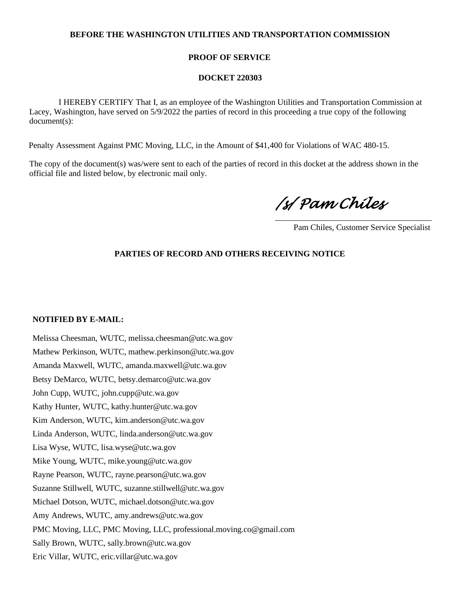## **BEFORE THE WASHINGTON UTILITIES AND TRANSPORTATION COMMISSION**

### **PROOF OF SERVICE**

#### **DOCKET 220303**

 I HEREBY CERTIFY That I, as an employee of the Washington Utilities and Transportation Commission at Lacey, Washington, have served on 5/9/2022 the parties of record in this proceeding a true copy of the following document(s):

Penalty Assessment Against PMC Moving, LLC, in the Amount of \$41,400 for Violations of WAC 480-15.

The copy of the document(s) was/were sent to each of the parties of record in this docket at the address shown in the official file and listed below, by electronic mail only.

*/s/ Pam Chiles* 

Pam Chiles, Customer Service Specialist

# **PARTIES OF RECORD AND OTHERS RECEIVING NOTICE**

#### **NOTIFIED BY E-MAIL:**

Melissa Cheesman, WUTC, melissa.cheesman@utc.wa.gov Mathew Perkinson, WUTC, mathew.perkinson@utc.wa.gov Amanda Maxwell, WUTC, amanda.maxwell@utc.wa.gov Betsy DeMarco, WUTC, betsy.demarco@utc.wa.gov John Cupp, WUTC, john.cupp@utc.wa.gov Kathy Hunter, WUTC, kathy.hunter@utc.wa.gov Kim Anderson, WUTC, kim.anderson@utc.wa.gov Linda Anderson, WUTC, linda.anderson@utc.wa.gov Lisa Wyse, WUTC, lisa.wyse@utc.wa.gov Mike Young, WUTC, mike.young@utc.wa.gov Rayne Pearson, WUTC, rayne.pearson@utc.wa.gov Suzanne Stillwell, WUTC, suzanne.stillwell@utc.wa.gov Michael Dotson, WUTC, michael.dotson@utc.wa.gov Amy Andrews, WUTC, amy.andrews@utc.wa.gov PMC Moving, LLC, PMC Moving, LLC, professional.moving.co@gmail.com Sally Brown, WUTC, sally.brown@utc.wa.gov Eric Villar, WUTC, eric.villar@utc.wa.gov